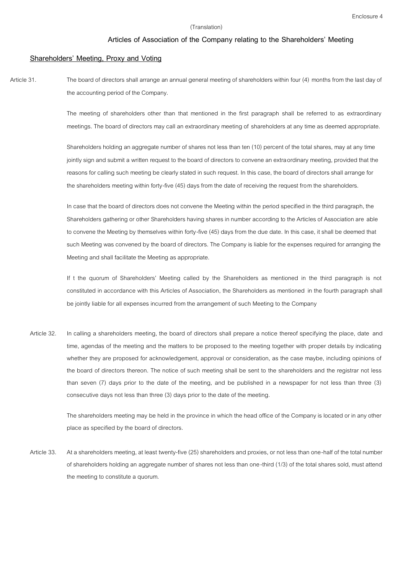# **Articles of Association of the Company relating to the Shareholders' Meeting**

## **Shareholders' Meeting, Proxy and Voting**

Article 31. The board of directors shall arrange an annual general meeting of shareholders within four (4) months from the last day of the accounting period of the Company.

> The meeting of shareholders other than that mentioned in the first paragraph shall be referred to as extraordinary meetings. The board of directors may call an extraordinary meeting of shareholders at any time as deemed appropriate.

Shareholders holding an aggregate number of shares not less than ten (10) percent of the total shares, may at any time jointly sign and submit a written request to the board of directors to convene an extraordinary meeting, provided that the reasons for calling such meeting be clearly stated in such request. In this case, the board of directors shall arrange for the shareholders meeting within forty-five (45) days from the date of receiving the request from the shareholders.

In case that the board of directors does not convene the Meeting within the period specified in the third paragraph, the Shareholders gathering or other Shareholders having shares in number according to the Articles of Association are able to convene the Meeting by themselves within forty-five (45) days from the due date. In this case, it shall be deemed that such Meeting was convened by the board of directors. The Company is liable for the expenses required for arranging the Meeting and shall facilitate the Meeting as appropriate.

If t the quorum of Shareholders' Meeting called by the Shareholders as mentioned in the third paragraph is not constituted in accordance with this Articles of Association, the Shareholders as mentioned in the fourth paragraph shall be jointly liable for all expenses incurred from the arrangement of such Meeting to the Company

Article 32. In calling a shareholders meeting, the board of directors shall prepare a notice thereof specifying the place, date and time, agendas of the meeting and the matters to be proposed to the meeting together with proper details by indicating whether they are proposed for acknowledgement, approval or consideration, as the case maybe, including opinions of the board of directors thereon. The notice of such meeting shall be sent to the shareholders and the registrar not less than seven (7) days prior to the date of the meeting, and be published in a newspaper for not less than three (3) consecutive days not less than three (3) days prior to the date of the meeting.

> The shareholders meeting may be held in the province in which the head office of the Company is located or in any other place as specified by the board of directors.

Article 33. At a shareholders meeting, at least twenty-five (25) shareholders and proxies, or not less than one-half of the total number of shareholders holding an aggregate number of shares not less than one-third (1/3) of the total shares sold, must attend the meeting to constitute a quorum.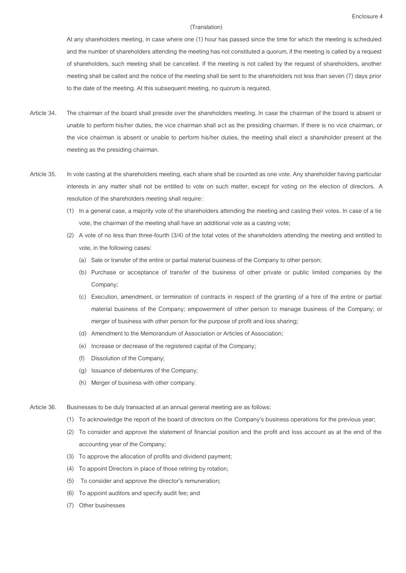At any shareholders meeting, in case where one (1) hour has passed since the time for which the meeting is scheduled and the number of shareholders attending the meeting has not constituted a quorum, if the meeting is called by a request of shareholders, such meeting shall be cancelled. If the meeting is not called by the request of shareholders, another meeting shall be called and the notice of the meeting shall be sent to the shareholders not less than seven (7) days prior to the date of the meeting. At this subsequent meeting, no quorum is required.

- Article 34. The chairman of the board shall preside over the shareholders meeting. In case the chairman of the board is absent or unable to perform his/her duties, the vice chairman shall act as the presiding chairman. If there is no vice chairman, or the vice chairman is absent or unable to perform his/her duties, the meeting shall elect a shareholder present at the meeting as the presiding chairman.
- Article 35. In vote casting at the shareholders meeting, each share shall be counted as one vote. Any shareholder having particular interests in any matter shall not be entitled to vote on such matter, except for voting on the election of directors. A resolution of the shareholders meeting shall require:
	- (1) In a general case, a majority vote of the shareholders attending the meeting and casting their votes. In case of a tie vote, the chairman of the meeting shall have an additional vote as a casting vote;
	- (2) A vote of no less than three-fourth (3/4) of the total votes of the shareholders attending the meeting and entitled to vote, in the following cases:
		- (a) Sale or transfer of the entire or partial material business of the Company to other person;
		- (b) Purchase or acceptance of transfer of the business of other private or public limited companies by the Company;
		- (c) Execution, amendment, or termination of contracts in respect of the granting of a hire of the entire or partial material business of the Company; empowerment of other person to manage business of the Company; or merger of business with other person for the purpose of profit and loss sharing;
		- (d) Amendment to the Memorandum of Association or Articles of Association;
		- (e) Increase or decrease of the registered capital of the Company;
		- (f) Dissolution of the Company;
		- (g) Issuance of debentures of the Company;
		- (h) Merger of business with other company.
- Article 36. Businesses to be duly transacted at an annual general meeting are as follows:
	- (1) To acknowledge the report of the board of directors on the Company's business operations for the previous year;
	- (2) To consider and approve the statement of financial position and the profit and loss account as at the end of the accounting year of the Company;
	- (3) To approve the allocation of profits and dividend payment;
	- (4) To appoint Directors in place of those retiring by rotation;
	- (5) To consider and approve the director's remuneration;
	- (6) To appoint auditors and specify audit fee; and
	- (7) Other businesses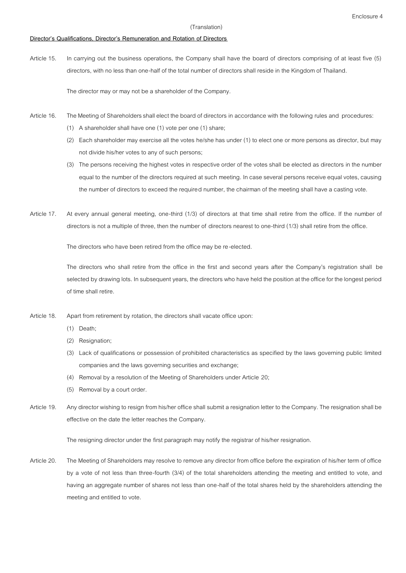### **Director's Qualifications, Director's Remuneration and Rotation of Directors**

Article 15. In carrying out the business operations, the Company shall have the board of directors comprising of at least five (5) directors, with no less than one-half of the total number of directors shall reside in the Kingdom of Thailand.

The director may or may not be a shareholder of the Company.

- Article 16. The Meeting of Shareholders shall elect the board of directors in accordance with the following rules and procedures:
	- (1) A shareholder shall have one (1) vote per one (1) share;
	- (2) Each shareholder may exercise all the votes he/she has under (1) to elect one or more persons as director, but may not divide his/her votes to any of such persons;
	- (3) The persons receiving the highest votes in respective order of the votes shall be elected as directors in the number equal to the number of the directors required at such meeting. In case several persons receive equal votes, causing the number of directors to exceed the required number, the chairman of the meeting shall have a casting vote.
- Article 17. At every annual general meeting, one-third (1/3) of directors at that time shall retire from the office. If the number of directors is not a multiple of three, then the number of directors nearest to one-third (1/3) shall retire from the office.

The directors who have been retired from the office may be re-elected.

The directors who shall retire from the office in the first and second years after the Company's registration shall be selected by drawing lots. In subsequent years, the directors who have held the position at the office for the longest period of time shall retire.

- Article 18. Apart from retirement by rotation, the directors shall vacate office upon:
	- (1) Death;
	- (2) Resignation;
	- (3) Lack of qualifications or possession of prohibited characteristics as specified by the laws governing public limited companies and the laws governing securities and exchange;
	- (4) Removal by a resolution of the Meeting of Shareholders under Article 20;
	- (5) Removal by a court order.
- Article 19. Any director wishing to resign from his/her office shall submit a resignation letter to the Company. The resignation shall be effective on the date the letter reaches the Company.

The resigning director under the first paragraph may notify the registrar of his/her resignation.

Article 20. The Meeting of Shareholders may resolve to remove any director from office before the expiration of his/her term of office by a vote of not less than three-fourth (3/4) of the total shareholders attending the meeting and entitled to vote, and having an aggregate number of shares not less than one-half of the total shares held by the shareholders attending the meeting and entitled to vote.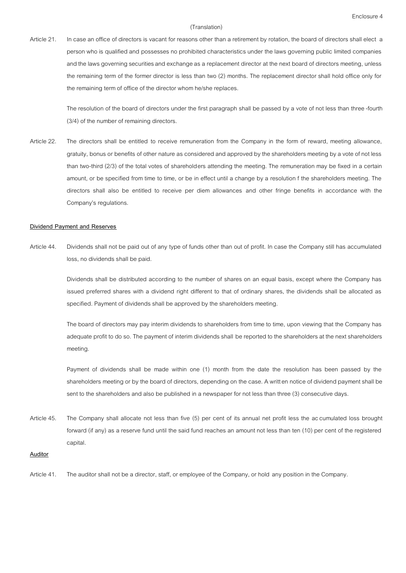Article 21. In case an office of directors is vacant for reasons other than a retirement by rotation, the board of directors shall elect a person who is qualified and possesses no prohibited characteristics under the laws governing public limited companies and the laws governing securities and exchange as a replacement director at the next board of directors meeting, unless the remaining term of the former director is less than two (2) months. The replacement director shall hold office only for the remaining term of office of the director whom he/she replaces.

> The resolution of the board of directors under the first paragraph shall be passed by a vote of not less than three-fourth (3/4) of the number of remaining directors.

Article 22. The directors shall be entitled to receive remuneration from the Company in the form of reward, meeting allowance, gratuity, bonus or benefits of other nature as considered and approved by the shareholders meeting by a vote of not less than two-third (2/3) of the total votes of shareholders attending the meeting. The remuneration may be fixed in a certain amount, or be specified from time to time, or be in effect until a change by a resolution f the shareholders meeting. The directors shall also be entitled to receive per diem allowances and other fringe benefits in accordance with the Company's regulations.

### **Dividend Payment and Reserves**

Article 44. Dividends shall not be paid out of any type of funds other than out of profit. In case the Company still has accumulated loss, no dividends shall be paid.

> Dividends shall be distributed according to the number of shares on an equal basis, except where the Company has issued preferred shares with a dividend right different to that of ordinary shares, the dividends shall be allocated as specified. Payment of dividends shall be approved by the shareholders meeting.

> The board of directors may pay interim dividends to shareholders from time to time, upon viewing that the Company has adequate profit to do so. The payment of interim dividends shall be reported to the shareholders at the next shareholders meeting.

> Payment of dividends shall be made within one (1) month from the date the resolution has been passed by the shareholders meeting or by the board of directors, depending on the case. A written notice of dividend payment shall be sent to the shareholders and also be published in a newspaper for not less than three (3) consecutive days.

Article 45. The Company shall allocate not less than five (5) per cent of its annual net profit less the accumulated loss brought forward (if any) as a reserve fund until the said fund reaches an amount not less than ten (10) per cent of the registered capital.

#### **Auditor**

Article 41. The auditor shall not be a director, staff, or employee of the Company, or hold any position in the Company.